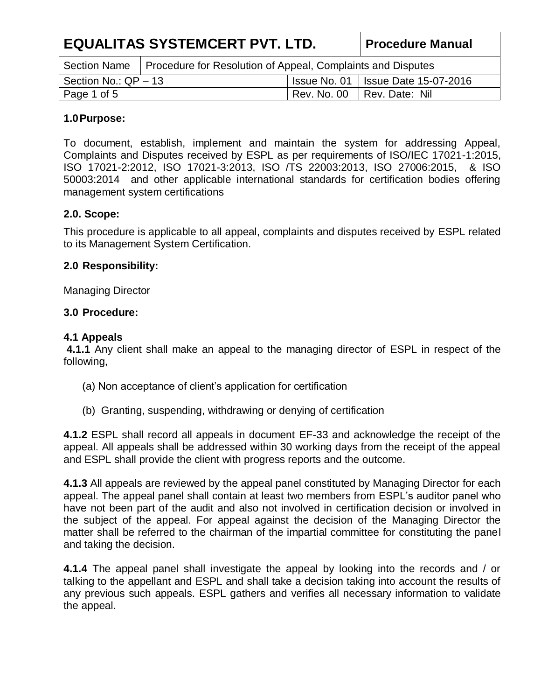| <b>EQUALITAS SYSTEMCERT PVT. LTD.</b> |                                                             | <b>Procedure Manual</b>                     |                            |
|---------------------------------------|-------------------------------------------------------------|---------------------------------------------|----------------------------|
| <b>Section Name</b>                   | Procedure for Resolution of Appeal, Complaints and Disputes |                                             |                            |
| Section No.: $QP - 13$                |                                                             | <b>Issue No. 01   Issue Date 15-07-2016</b> |                            |
| Page 1 of 5                           |                                                             |                                             | Rev. No. 00 Rev. Date: Nil |

#### **1.0Purpose:**

To document, establish, implement and maintain the system for addressing Appeal, Complaints and Disputes received by ESPL as per requirements of ISO/IEC 17021-1:2015, ISO 17021-2:2012, ISO 17021-3:2013, ISO /TS 22003:2013, ISO 27006:2015, & ISO 50003:2014 and other applicable international standards for certification bodies offering management system certifications

## **2.0. Scope:**

This procedure is applicable to all appeal, complaints and disputes received by ESPL related to its Management System Certification.

#### **2.0 Responsibility:**

Managing Director

#### **3.0 Procedure:**

#### **4.1 Appeals**

**4.1.1** Any client shall make an appeal to the managing director of ESPL in respect of the following,

- (a) Non acceptance of client's application for certification
- (b) Granting, suspending, withdrawing or denying of certification

**4.1.2** ESPL shall record all appeals in document EF-33 and acknowledge the receipt of the appeal. All appeals shall be addressed within 30 working days from the receipt of the appeal and ESPL shall provide the client with progress reports and the outcome.

**4.1.3** All appeals are reviewed by the appeal panel constituted by Managing Director for each appeal. The appeal panel shall contain at least two members from ESPL's auditor panel who have not been part of the audit and also not involved in certification decision or involved in the subject of the appeal. For appeal against the decision of the Managing Director the matter shall be referred to the chairman of the impartial committee for constituting the panel and taking the decision.

**4.1.4** The appeal panel shall investigate the appeal by looking into the records and / or talking to the appellant and ESPL and shall take a decision taking into account the results of any previous such appeals. ESPL gathers and verifies all necessary information to validate the appeal.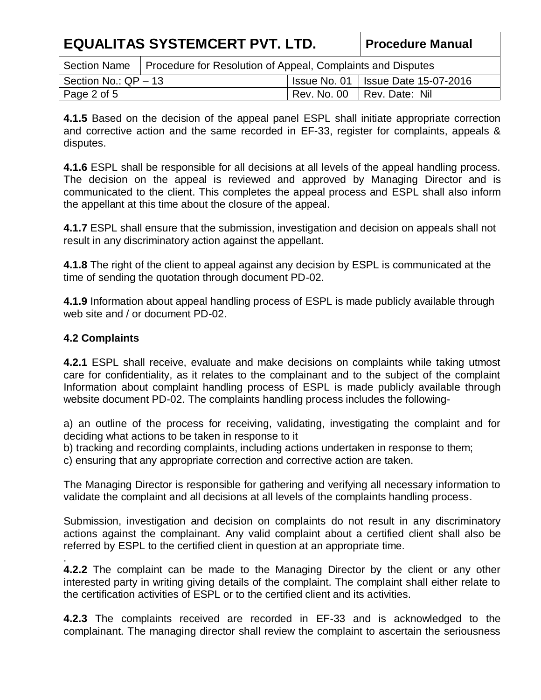| <b>EQUALITAS SYSTEMCERT PVT. LTD.</b> |                                                                            | <b>Procedure Manual</b>                     |                              |
|---------------------------------------|----------------------------------------------------------------------------|---------------------------------------------|------------------------------|
|                                       | Section Name   Procedure for Resolution of Appeal, Complaints and Disputes |                                             |                              |
| Section No.: $QP - 13$                |                                                                            | <b>Issue No. 01   Issue Date 15-07-2016</b> |                              |
| Page 2 of 5                           |                                                                            |                                             | Rev. No. 00   Rev. Date: Nil |

**4.1.5** Based on the decision of the appeal panel ESPL shall initiate appropriate correction and corrective action and the same recorded in EF-33, register for complaints, appeals & disputes.

**4.1.6** ESPL shall be responsible for all decisions at all levels of the appeal handling process. The decision on the appeal is reviewed and approved by Managing Director and is communicated to the client. This completes the appeal process and ESPL shall also inform the appellant at this time about the closure of the appeal.

**4.1.7** ESPL shall ensure that the submission, investigation and decision on appeals shall not result in any discriminatory action against the appellant.

**4.1.8** The right of the client to appeal against any decision by ESPL is communicated at the time of sending the quotation through document PD-02.

**4.1.9** Information about appeal handling process of ESPL is made publicly available through web site and / or document PD-02.

## **4.2 Complaints**

.

**4.2.1** ESPL shall receive, evaluate and make decisions on complaints while taking utmost care for confidentiality, as it relates to the complainant and to the subject of the complaint Information about complaint handling process of ESPL is made publicly available through website document PD-02. The complaints handling process includes the following-

a) an outline of the process for receiving, validating, investigating the complaint and for deciding what actions to be taken in response to it

b) tracking and recording complaints, including actions undertaken in response to them;

c) ensuring that any appropriate correction and corrective action are taken.

The Managing Director is responsible for gathering and verifying all necessary information to validate the complaint and all decisions at all levels of the complaints handling process.

Submission, investigation and decision on complaints do not result in any discriminatory actions against the complainant. Any valid complaint about a certified client shall also be referred by ESPL to the certified client in question at an appropriate time.

**4.2.2** The complaint can be made to the Managing Director by the client or any other interested party in writing giving details of the complaint. The complaint shall either relate to the certification activities of ESPL or to the certified client and its activities.

**4.2.3** The complaints received are recorded in EF-33 and is acknowledged to the complainant. The managing director shall review the complaint to ascertain the seriousness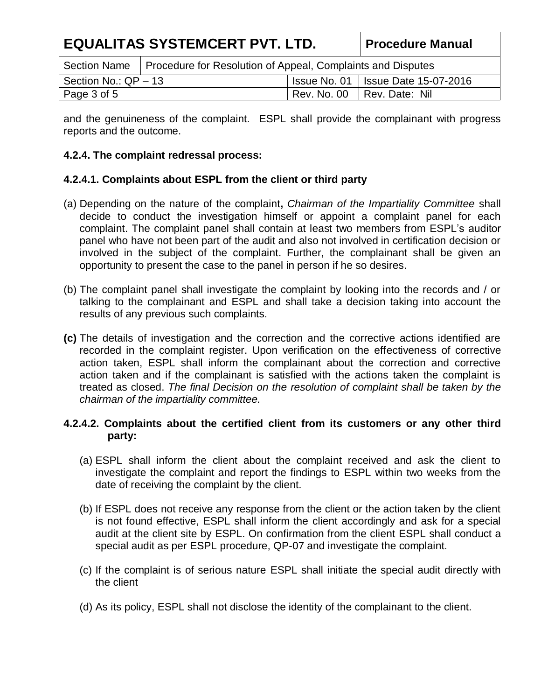| <b>EQUALITAS SYSTEMCERT PVT. LTD.</b> |                                                             |                                             | <b>Procedure Manual</b> |
|---------------------------------------|-------------------------------------------------------------|---------------------------------------------|-------------------------|
| <b>Section Name</b>                   | Procedure for Resolution of Appeal, Complaints and Disputes |                                             |                         |
| Section No.: QP - 13                  |                                                             | <b>Issue No. 01   Issue Date 15-07-2016</b> |                         |
| Page 3 of 5                           |                                                             | Rev. No. 00                                 | Rev. Date: Nil          |

and the genuineness of the complaint. ESPL shall provide the complainant with progress reports and the outcome.

# **4.2.4. The complaint redressal process:**

# **4.2.4.1. Complaints about ESPL from the client or third party**

- (a) Depending on the nature of the complaint**,** *Chairman of the Impartiality Committee* shall decide to conduct the investigation himself or appoint a complaint panel for each complaint. The complaint panel shall contain at least two members from ESPL's auditor panel who have not been part of the audit and also not involved in certification decision or involved in the subject of the complaint. Further, the complainant shall be given an opportunity to present the case to the panel in person if he so desires.
- (b) The complaint panel shall investigate the complaint by looking into the records and / or talking to the complainant and ESPL and shall take a decision taking into account the results of any previous such complaints.
- **(c)** The details of investigation and the correction and the corrective actions identified are recorded in the complaint register. Upon verification on the effectiveness of corrective action taken, ESPL shall inform the complainant about the correction and corrective action taken and if the complainant is satisfied with the actions taken the complaint is treated as closed. *The final Decision on the resolution of complaint shall be taken by the chairman of the impartiality committee.*

## **4.2.4.2. Complaints about the certified client from its customers or any other third party:**

- (a) ESPL shall inform the client about the complaint received and ask the client to investigate the complaint and report the findings to ESPL within two weeks from the date of receiving the complaint by the client.
- (b) If ESPL does not receive any response from the client or the action taken by the client is not found effective, ESPL shall inform the client accordingly and ask for a special audit at the client site by ESPL. On confirmation from the client ESPL shall conduct a special audit as per ESPL procedure, QP-07 and investigate the complaint.
- (c) If the complaint is of serious nature ESPL shall initiate the special audit directly with the client
- (d) As its policy, ESPL shall not disclose the identity of the complainant to the client.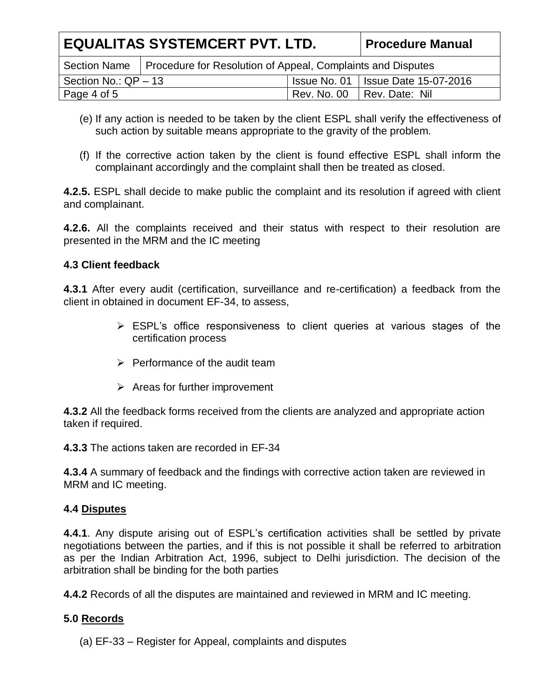| <b>EQUALITAS SYSTEMCERT PVT. LTD.</b> |                                                             | <b>Procedure Manual</b>              |                |
|---------------------------------------|-------------------------------------------------------------|--------------------------------------|----------------|
| <b>Section Name</b>                   | Procedure for Resolution of Appeal, Complaints and Disputes |                                      |                |
| Section No.: $QP - 13$                |                                                             | Issue No. 01   Issue Date 15-07-2016 |                |
| Page 4 of 5                           |                                                             | Rev. No. 00                          | Rev. Date: Nil |

- (e) If any action is needed to be taken by the client ESPL shall verify the effectiveness of such action by suitable means appropriate to the gravity of the problem.
- (f) If the corrective action taken by the client is found effective ESPL shall inform the complainant accordingly and the complaint shall then be treated as closed.

**4.2.5.** ESPL shall decide to make public the complaint and its resolution if agreed with client and complainant.

**4.2.6.** All the complaints received and their status with respect to their resolution are presented in the MRM and the IC meeting

## **4.3 Client feedback**

**4.3.1** After every audit (certification, surveillance and re-certification) a feedback from the client in obtained in document EF-34, to assess,

- ESPL's office responsiveness to client queries at various stages of the certification process
- $\triangleright$  Performance of the audit team
- $\triangleright$  Areas for further improvement

**4.3.2** All the feedback forms received from the clients are analyzed and appropriate action taken if required.

**4.3.3** The actions taken are recorded in EF-34

**4.3.4** A summary of feedback and the findings with corrective action taken are reviewed in MRM and IC meeting.

# **4.4 Disputes**

**4.4.1**. Any dispute arising out of ESPL's certification activities shall be settled by private negotiations between the parties, and if this is not possible it shall be referred to arbitration as per the Indian Arbitration Act, 1996, subject to Delhi jurisdiction. The decision of the arbitration shall be binding for the both parties

**4.4.2** Records of all the disputes are maintained and reviewed in MRM and IC meeting.

# **5.0 Records**

(a) EF-33 – Register for Appeal, complaints and disputes